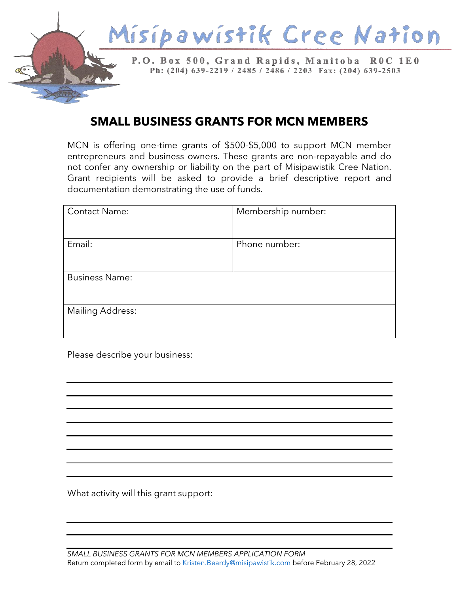

## **SMALL BUSINESS GRANTS FOR MCN MEMBERS**

MCN is offering one-time grants of \$500-\$5,000 to support MCN member entrepreneurs and business owners. These grants are non-repayable and do not confer any ownership or liability on the part of Misipawistik Cree Nation. Grant recipients will be asked to provide a brief descriptive report and documentation demonstrating the use of funds.

| <b>Contact Name:</b>    | Membership number: |
|-------------------------|--------------------|
| Email:                  | Phone number:      |
| <b>Business Name:</b>   |                    |
| <b>Mailing Address:</b> |                    |

Please describe your business:

What activity will this grant support: